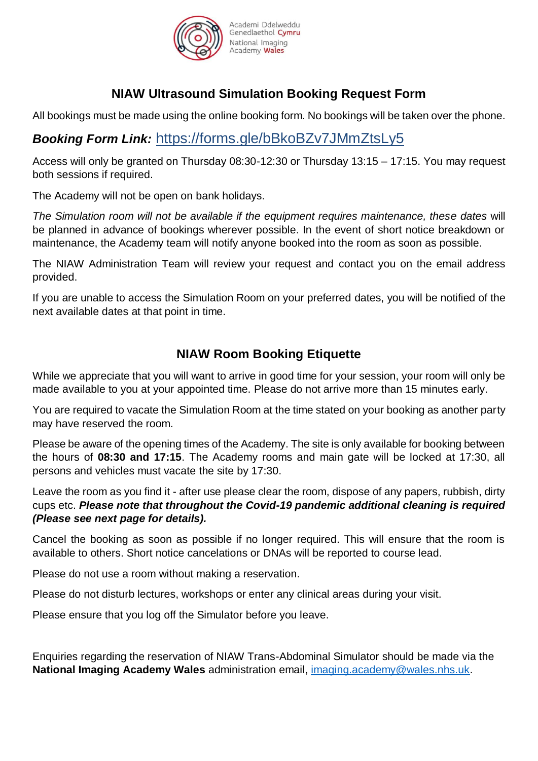

# Genedlaethol Cymru

# **NIAW Ultrasound Simulation Booking Request Form**

All bookings must be made using the online booking form. No bookings will be taken over the phone.

# *Booking Form Link:* https://forms.gle/bBkoBZv7JMmZtsLy5

Access will only be granted on Thursday 08:30-12:30 or Thursday 13:15 – 17:15. You may request both sessions if required.

The Academy will not be open on bank holidays.

*The Simulation room will not be available if the equipment requires maintenance, these dates* will be planned in advance of bookings wherever possible. In the event of short notice breakdown or maintenance, the Academy team will notify anyone booked into the room as soon as possible.

The NIAW Administration Team will review your request and contact you on the email address provided.

If you are unable to access the Simulation Room on your preferred dates, you will be notified of the next available dates at that point in time.

### **NIAW Room Booking Etiquette**

While we appreciate that you will want to arrive in good time for your session, your room will only be made available to you at your appointed time. Please do not arrive more than 15 minutes early.

You are required to vacate the Simulation Room at the time stated on your booking as another party may have reserved the room.

Please be aware of the opening times of the Academy. The site is only available for booking between the hours of **08:30 and 17:15**. The Academy rooms and main gate will be locked at 17:30, all persons and vehicles must vacate the site by 17:30.

Leave the room as you find it - after use please clear the room, dispose of any papers, rubbish, dirty cups etc. *Please note that throughout the Covid-19 pandemic additional cleaning is required (Please see next page for details).* 

Cancel the booking as soon as possible if no longer required. This will ensure that the room is available to others. Short notice cancelations or DNAs will be reported to course lead.

Please do not use a room without making a reservation.

Please do not disturb lectures, workshops or enter any clinical areas during your visit.

Please ensure that you log off the Simulator before you leave.

Enquiries regarding the reservation of NIAW Trans-Abdominal Simulator should be made via the **National Imaging Academy Wales** administration email, [imaging.academy@wales.nhs.uk.](mailto:imaging.academy@wales.nhs.uk)